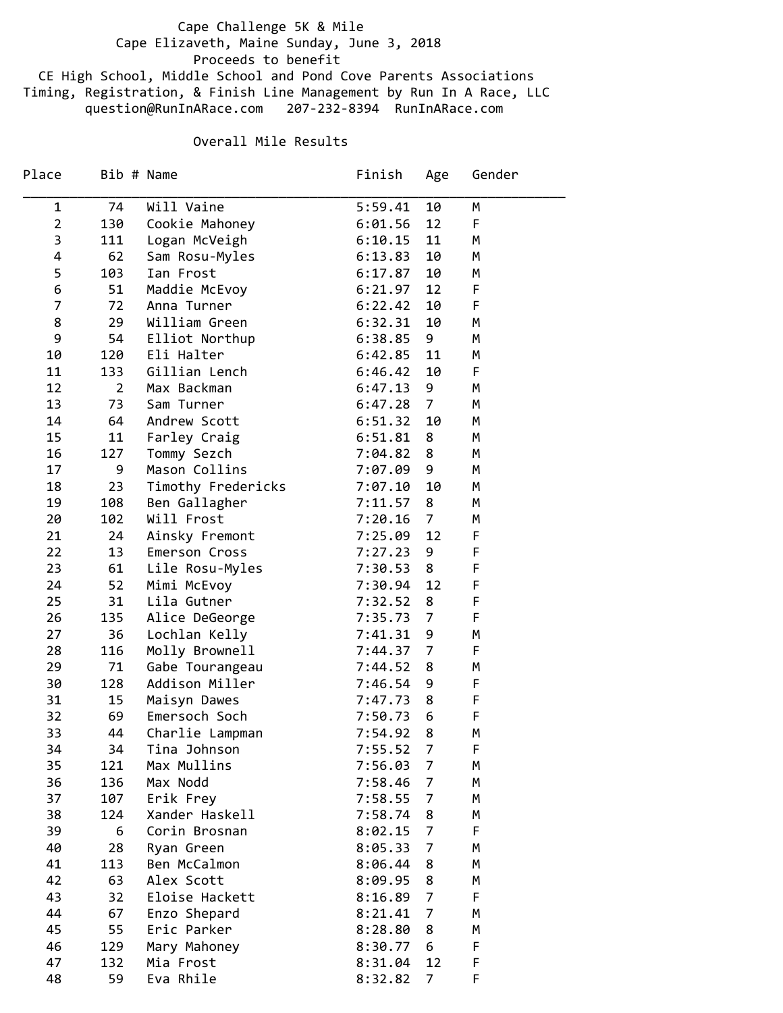## Cape Challenge 5K & Mile Cape Elizaveth, Maine Sunday, June 3, 2018 Proceeds to benefit CE High School, Middle School and Pond Cove Parents Associations

Timing, Registration, & Finish Line Management by Run In A Race, LLC question@RunInARace.com 207‐232‐8394 RunInARace.com

## Overall Mile Results

| Place          |                | Bib # Name         | Finish  | Age            | Gender |
|----------------|----------------|--------------------|---------|----------------|--------|
| 1              | 74             | Will Vaine         | 5:59.41 | 10             | М      |
| $\overline{2}$ | 130            | Cookie Mahoney     | 6:01.56 | 12             | F      |
| 3              | 111            | Logan McVeigh      | 6:10.15 | 11             | М      |
| 4              | 62             | Sam Rosu-Myles     | 6:13.83 | 10             | М      |
| 5              | 103            | Ian Frost          | 6:17.87 | 10             | М      |
| 6              | 51             | Maddie McEvoy      | 6:21.97 | 12             | F      |
| $\overline{7}$ | 72             | Anna Turner        | 6:22.42 | 10             | F      |
| 8              | 29             | William Green      | 6:32.31 | 10             | М      |
| 9              | 54             | Elliot Northup     | 6:38.85 | 9              | М      |
| 10             | 120            | Eli Halter         | 6:42.85 | 11             | М      |
| 11             | 133            | Gillian Lench      | 6:46.42 | 10             | F      |
| 12             | $\overline{2}$ | Max Backman        | 6:47.13 | 9              | М      |
| 13             | 73             | Sam Turner         | 6:47.28 | $\overline{7}$ | М      |
| 14             | 64             | Andrew Scott       | 6:51.32 | 10             | M      |
| 15             | 11             | Farley Craig       | 6:51.81 | 8              | М      |
| 16             | 127            | Tommy Sezch        | 7:04.82 | 8              | М      |
| 17             | 9              | Mason Collins      | 7:07.09 | 9              | М      |
| 18             | 23             | Timothy Fredericks | 7:07.10 | 10             | М      |
| 19             | 108            | Ben Gallagher      | 7:11.57 | 8              | М      |
| 20             | 102            | Will Frost         | 7:20.16 | $\overline{7}$ | М      |
| 21             | 24             | Ainsky Fremont     | 7:25.09 | 12             | F      |
| 22             | 13             | Emerson Cross      | 7:27.23 | 9              | F      |
| 23             | 61             | Lile Rosu-Myles    | 7:30.53 | 8              | F      |
| 24             | 52             | Mimi McEvoy        | 7:30.94 | 12             | F      |
| 25             | 31             | Lila Gutner        | 7:32.52 | 8              | F      |
| 26             | 135            | Alice DeGeorge     | 7:35.73 | $\overline{7}$ | F      |
| 27             | 36             | Lochlan Kelly      | 7:41.31 | 9              | М      |
| 28             | 116            | Molly Brownell     | 7:44.37 | $\overline{7}$ | F      |
| 29             | 71             | Gabe Tourangeau    | 7:44.52 | 8              | М      |
| 30             | 128            | Addison Miller     | 7:46.54 | 9              | F      |
| 31             | 15             | Maisyn Dawes       | 7:47.73 | 8              | F      |
| 32             | 69             | Emersoch Soch      | 7:50.73 | 6              | F      |
| 33             | 44             | Charlie Lampman    | 7:54.92 | 8              | М      |
| 34             | 34             | Tina Johnson       | 7:55.52 | 7              | F      |
| 35             | 121            | Max Mullins        | 7:56.03 | 7              | М      |
| 36             | 136            | Max Nodd           | 7:58.46 | $\overline{7}$ | М      |
| 37             | 107            | Erik Frey          | 7:58.55 | 7              | М      |
| 38             | 124            | Xander Haskell     | 7:58.74 | 8              | М      |
| 39             | 6              | Corin Brosnan      | 8:02.15 | 7              | F      |
| 40             | 28             | Ryan Green         | 8:05.33 | 7              | M      |
| 41             | 113            | Ben McCalmon       | 8:06.44 | 8              | М      |
| 42             | 63             | Alex Scott         | 8:09.95 | 8              | М      |
| 43             | 32             | Eloise Hackett     | 8:16.89 | 7              | F      |
| 44             | 67             | Enzo Shepard       | 8:21.41 | $\overline{7}$ | М      |
| 45             | 55             | Eric Parker        | 8:28.80 | 8              | М      |
| 46             | 129            | Mary Mahoney       | 8:30.77 | 6              | F      |
| 47             | 132            | Mia Frost          | 8:31.04 | 12             | F      |
| 48             | 59             | Eva Rhile          | 8:32.82 | $\overline{7}$ | F      |